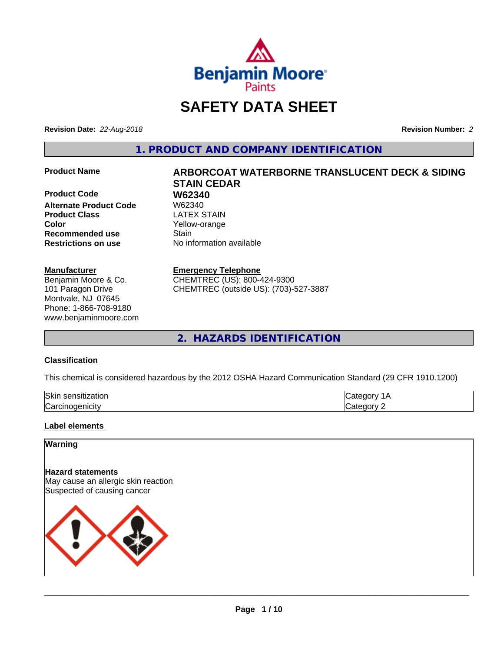

# **SAFETY DATA SHEET**

**Revision Date:** *22-Aug-2018* **Revision Number:** *2*

**1. PRODUCT AND COMPANY IDENTIFICATION**

**Product Code 61 W62340**<br>Alternate Product Code 61 W62340 **Alternate Product Code Product Class LATEX STAIN Color** Yellow-orange **Recommended use Stain Restrictions on use** No information available

#### **Manufacturer**

Benjamin Moore & Co. 101 Paragon Drive Montvale, NJ 07645 Phone: 1-866-708-9180 www.benjaminmoore.com

# **Product Name ARBORCOAT WATERBORNE TRANSLUCENT DECK & SIDING STAIN CEDAR**

#### **Emergency Telephone**

CHEMTREC (US): 800-424-9300 CHEMTREC (outside US): (703)-527-3887

**2. HAZARDS IDENTIFICATION**

#### **Classification**

This chemical is considered hazardous by the 2012 OSHA Hazard Communication Standard (29 CFR 1910.1200)

| <b>Ski</b><br>uor<br>- 11 |  |
|---------------------------|--|
| ∽<br>. . аг               |  |

#### **Label elements**

#### **Warning**

**Hazard statements** May cause an allergic skin reaction Suspected of causing cancer

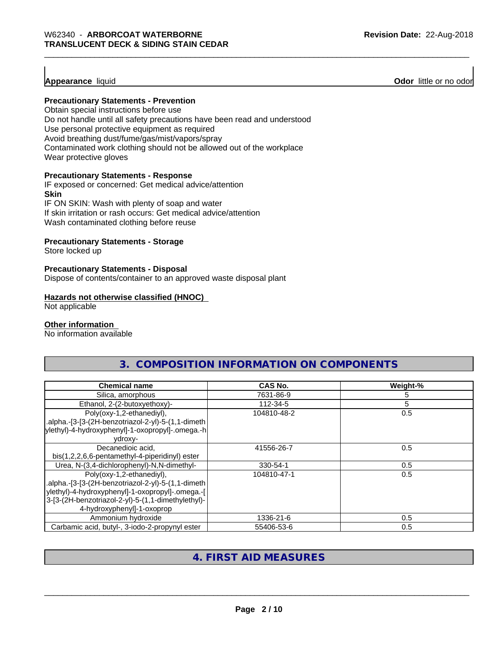#### **Appearance** liquid

**Odor** little or no odor

#### **Precautionary Statements - Prevention**

Obtain special instructions before use Do not handle until all safety precautions have been read and understood Use personal protective equipment as required Avoid breathing dust/fume/gas/mist/vapors/spray Contaminated work clothing should not be allowed out of the workplace Wear protective gloves

#### **Precautionary Statements - Response**

IF exposed or concerned: Get medical advice/attention **Skin** IF ON SKIN: Wash with plenty of soap and water

If skin irritation or rash occurs: Get medical advice/attention Wash contaminated clothing before reuse

#### **Precautionary Statements - Storage**

Store locked up

#### **Precautionary Statements - Disposal**

Dispose of contents/container to an approved waste disposal plant

#### **Hazards not otherwise classified (HNOC)**

Not applicable

#### **Other information**

No information available

|                                                                                                                                                 | 3. COMPOSITION INFORMATION ON COMPONENTS |          |
|-------------------------------------------------------------------------------------------------------------------------------------------------|------------------------------------------|----------|
|                                                                                                                                                 |                                          |          |
| <b>Chemical name</b>                                                                                                                            | CAS No.                                  | Weight-% |
| Silica, amorphous                                                                                                                               | 7631-86-9                                |          |
| Ethanol, 2-(2-butoxyethoxy)-                                                                                                                    | 112-34-5                                 |          |
| Poly(oxy-1,2-ethanediyl),<br>.alpha.-[3-[3-(2H-benzotriazol-2-yl)-5-(1,1-dimeth<br>ylethyl)-4-hydroxyphenyl]-1-oxopropyl]-.omega.-h <br>vdroxy- | 104810-48-2                              | 0.5      |
| Decanedioic acid,                                                                                                                               | 41556-26-7                               | 0.5      |

| Decariculuit aulu.                                 | 41330-Z0-7  | U.J |
|----------------------------------------------------|-------------|-----|
| bis(1,2,2,6,6-pentamethyl-4-piperidinyl) ester     |             |     |
| Urea, N-(3,4-dichlorophenyl)-N,N-dimethyl-         | 330-54-1    | 0.5 |
| Poly(oxy-1,2-ethanediyl),                          | 104810-47-1 | 0.5 |
| .alpha.-[3-[3-(2H-benzotriazol-2-yl)-5-(1,1-dimeth |             |     |
| ylethyl)-4-hydroxyphenyl]-1-oxopropyl]-.omega.-[   |             |     |
| 3-[3-(2H-benzotriazol-2-yl)-5-(1,1-dimethylethyl)- |             |     |
| 4-hydroxyphenyl]-1-oxoprop                         |             |     |
| Ammonium hydroxide                                 | 1336-21-6   | 0.5 |
| Carbamic acid, butyl-, 3-iodo-2-propynyl ester     | 55406-53-6  | 0.5 |

#### **4. FIRST AID MEASURES**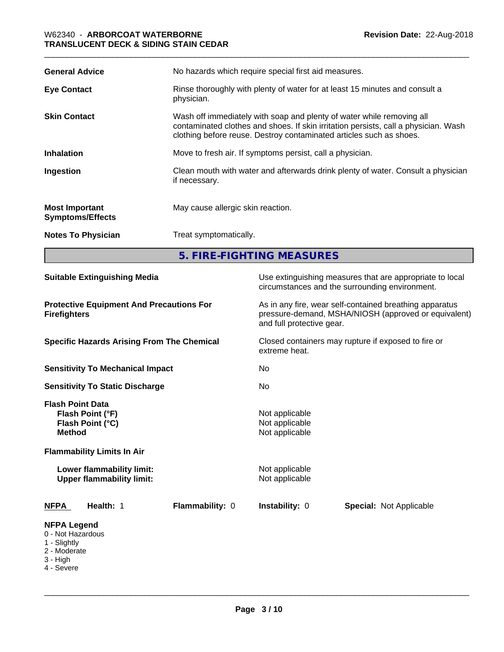| <b>General Advice</b>                            | No hazards which require special first aid measures.                                                                                                                                                                                |  |
|--------------------------------------------------|-------------------------------------------------------------------------------------------------------------------------------------------------------------------------------------------------------------------------------------|--|
| <b>Eye Contact</b>                               | Rinse thoroughly with plenty of water for at least 15 minutes and consult a<br>physician.                                                                                                                                           |  |
| <b>Skin Contact</b>                              | Wash off immediately with soap and plenty of water while removing all<br>contaminated clothes and shoes. If skin irritation persists, call a physician. Wash<br>clothing before reuse. Destroy contaminated articles such as shoes. |  |
| <b>Inhalation</b>                                | Move to fresh air. If symptoms persist, call a physician.                                                                                                                                                                           |  |
| Ingestion                                        | Clean mouth with water and afterwards drink plenty of water. Consult a physician<br>if necessary.                                                                                                                                   |  |
| <b>Most Important</b><br><b>Symptoms/Effects</b> | May cause allergic skin reaction.                                                                                                                                                                                                   |  |
| <b>Notes To Physician</b>                        | Treat symptomatically.                                                                                                                                                                                                              |  |
|                                                  | 5. FIRE-FIGHTING MEASURES                                                                                                                                                                                                           |  |

| <b>Suitable Extinguishing Media</b>                                                                                                                                                    | Use extinguishing measures that are appropriate to local<br>circumstances and the surrounding environment.                                   |
|----------------------------------------------------------------------------------------------------------------------------------------------------------------------------------------|----------------------------------------------------------------------------------------------------------------------------------------------|
| <b>Protective Equipment And Precautions For</b><br><b>Firefighters</b>                                                                                                                 | As in any fire, wear self-contained breathing apparatus<br>pressure-demand, MSHA/NIOSH (approved or equivalent)<br>and full protective gear. |
| <b>Specific Hazards Arising From The Chemical</b>                                                                                                                                      | Closed containers may rupture if exposed to fire or<br>extreme heat.                                                                         |
| <b>Sensitivity To Mechanical Impact</b>                                                                                                                                                | No                                                                                                                                           |
| <b>Sensitivity To Static Discharge</b>                                                                                                                                                 | No.                                                                                                                                          |
| <b>Flash Point Data</b><br>Flash Point (°F)<br>Flash Point (°C)<br><b>Method</b><br><b>Flammability Limits In Air</b><br>Lower flammability limit:<br><b>Upper flammability limit:</b> | Not applicable<br>Not applicable<br>Not applicable<br>Not applicable<br>Not applicable                                                       |
| Flammability: 0<br><b>NFPA</b><br>Health: 1                                                                                                                                            | Instability: 0<br><b>Special: Not Applicable</b>                                                                                             |
| <b>NFPA Legend</b><br>0 - Not Hazardous<br>1 - Slightly<br>2 - Moderate<br>3 - High<br>4 - Severe                                                                                      |                                                                                                                                              |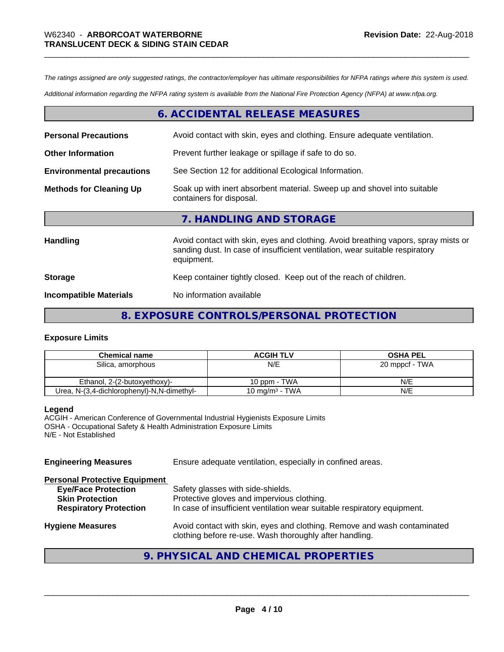*The ratings assigned are only suggested ratings, the contractor/employer has ultimate responsibilities for NFPA ratings where this system is used.*

*Additional information regarding the NFPA rating system is available from the National Fire Protection Agency (NFPA) at www.nfpa.org.*

#### **6. ACCIDENTAL RELEASE MEASURES**

| <b>Personal Precautions</b>      | Avoid contact with skin, eyes and clothing. Ensure adequate ventilation.                                                                                                         |
|----------------------------------|----------------------------------------------------------------------------------------------------------------------------------------------------------------------------------|
| <b>Other Information</b>         | Prevent further leakage or spillage if safe to do so.                                                                                                                            |
| <b>Environmental precautions</b> | See Section 12 for additional Ecological Information.                                                                                                                            |
| <b>Methods for Cleaning Up</b>   | Soak up with inert absorbent material. Sweep up and shovel into suitable<br>containers for disposal.                                                                             |
|                                  | 7. HANDLING AND STORAGE                                                                                                                                                          |
| Handling                         | Avoid contact with skin, eyes and clothing. Avoid breathing vapors, spray mists or<br>sanding dust. In case of insufficient ventilation, wear suitable respiratory<br>equipment. |
| <b>Storage</b>                   | Keep container tightly closed. Keep out of the reach of children.                                                                                                                |
| <b>Incompatible Materials</b>    | No information available                                                                                                                                                         |

#### **8. EXPOSURE CONTROLS/PERSONAL PROTECTION**

#### **Exposure Limits**

| <b>Chemical name</b>                       | <b>ACGIH TLV</b>           | <b>OSHA PEL</b> |
|--------------------------------------------|----------------------------|-----------------|
| Silica, amorphous                          | N/E                        | 20 mppcf - TWA  |
|                                            |                            |                 |
| Ethanol, 2-(2-butoxyethoxy)-               | 10 ppm - TWA               | N/E             |
| Urea, N-(3,4-dichlorophenyl)-N,N-dimethyl- | 10 mg/m <sup>3</sup> - TWA | N/E             |

#### **Legend**

ACGIH - American Conference of Governmental Industrial Hygienists Exposure Limits OSHA - Occupational Safety & Health Administration Exposure Limits N/E - Not Established

| <b>Engineering Measures</b>                                                                                                   | Ensure adequate ventilation, especially in confined areas.                                                                                                  |
|-------------------------------------------------------------------------------------------------------------------------------|-------------------------------------------------------------------------------------------------------------------------------------------------------------|
| <b>Personal Protective Equipment</b><br><b>Eye/Face Protection</b><br><b>Skin Protection</b><br><b>Respiratory Protection</b> | Safety glasses with side-shields.<br>Protective gloves and impervious clothing.<br>In case of insufficient ventilation wear suitable respiratory equipment. |
| <b>Hygiene Measures</b>                                                                                                       | Avoid contact with skin, eyes and clothing. Remove and wash contaminated<br>clothing before re-use. Wash thoroughly after handling.                         |

## **9. PHYSICAL AND CHEMICAL PROPERTIES**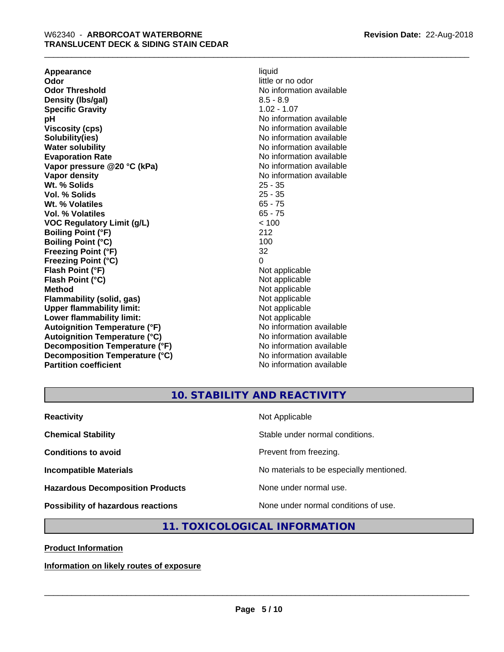**Appearance** liquid **and a limitation of the contract of the contract of the contract of the contract of the contract of the contract of the contract of the contract of the contract of the contract of the contract of the c Odor Threshold** No information available **Density (lbs/gal)** 8.5 - 8.9 **Specific Gravity** 1.02 - 1.07 **pH pH**  $\blacksquare$ **Viscosity (cps)** No information available in the Viscosity (cps) **Solubility(ies)** No information available **Water solubility** No information available **Evaporation Rate No information available No information available Vapor pressure @20 °C (kPa)** No information available **Vapor density No information available No** information available **Wt. % Solids** 25 - 35 **Vol. % Solids** 25 - 35 Wt. % Volatiles **Vol. % Volatiles** 65 - 75 **VOC Regulatory Limit (g/L)** < 100 **Boiling Point (°F)** 212 **Boiling Point (°C)** 100<br> **Preezing Point (°F)** 32 **Freezing Point (°F) Freezing Point (°C)** 0 **Flash Point (°F)** Not applicable **Flash Point (°C)** Not applicable **Method**<br> **Flammability (solid, gas)**<br> **Commability (solid, gas)**<br>
Mot applicable **Flammability (solid, gas)**<br> **Upper flammability limit:**<br>
Upper flammability limit:<br>  $\begin{array}{ccc}\n\bullet & \bullet & \bullet \\
\bullet & \bullet & \bullet\n\end{array}$ **Upper flammability limit:**<br> **Lower flammability limit:**<br>
Not applicable<br>
Not applicable **Lower flammability limit:**<br> **Autoianition Temperature (°F)** Not applicable Not applicable not a Not applicable **Autoignition Temperature (°F) Autoignition Temperature (°C)** No information available **Decomposition Temperature (°F)** No information available **Decomposition Temperature (°C)** No information available **Partition coefficient** No information available

little or no odor

#### **10. STABILITY AND REACTIVITY**

| <b>Reactivity</b>                         | Not Applicable                           |
|-------------------------------------------|------------------------------------------|
| <b>Chemical Stability</b>                 | Stable under normal conditions.          |
| <b>Conditions to avoid</b>                | Prevent from freezing.                   |
| <b>Incompatible Materials</b>             | No materials to be especially mentioned. |
| <b>Hazardous Decomposition Products</b>   | None under normal use.                   |
| <b>Possibility of hazardous reactions</b> | None under normal conditions of use.     |

#### **11. TOXICOLOGICAL INFORMATION**

**Product Information**

**Information on likely routes of exposure**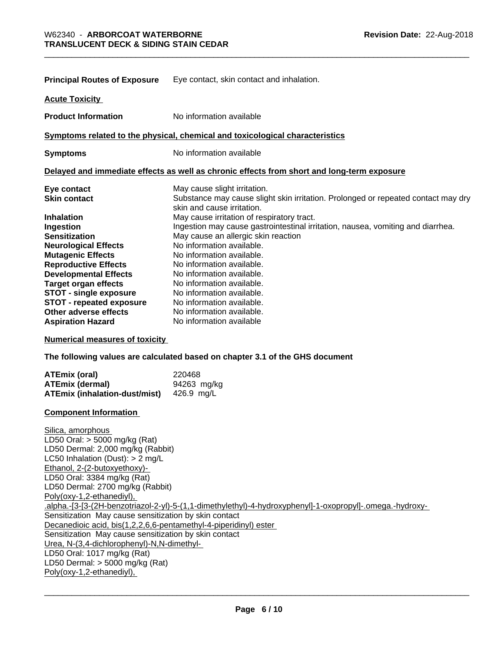|                                 | <b>Principal Routes of Exposure</b> Eye contact, skin contact and inhalation.                                   |
|---------------------------------|-----------------------------------------------------------------------------------------------------------------|
| <b>Acute Toxicity</b>           |                                                                                                                 |
| <b>Product Information</b>      | No information available                                                                                        |
|                                 | Symptoms related to the physical, chemical and toxicological characteristics                                    |
| <b>Symptoms</b>                 | No information available                                                                                        |
|                                 | Delayed and immediate effects as well as chronic effects from short and long-term exposure                      |
| Eye contact                     | May cause slight irritation.                                                                                    |
| <b>Skin contact</b>             | Substance may cause slight skin irritation. Prolonged or repeated contact may dry<br>skin and cause irritation. |
| <b>Inhalation</b>               | May cause irritation of respiratory tract.                                                                      |
| Ingestion                       | Ingestion may cause gastrointestinal irritation, nausea, vomiting and diarrhea.                                 |
| <b>Sensitization</b>            | May cause an allergic skin reaction                                                                             |
| <b>Neurological Effects</b>     | No information available.                                                                                       |
| <b>Mutagenic Effects</b>        | No information available.                                                                                       |
| <b>Reproductive Effects</b>     | No information available.                                                                                       |
| <b>Developmental Effects</b>    | No information available.                                                                                       |
| <b>Target organ effects</b>     | No information available.                                                                                       |
| <b>STOT - single exposure</b>   | No information available.                                                                                       |
| <b>STOT - repeated exposure</b> | No information available.                                                                                       |
| Other adverse effects           | No information available.                                                                                       |
| <b>Aspiration Hazard</b>        | No information available                                                                                        |

**Numerical measures of toxicity**

**The following values are calculated based on chapter 3.1 of the GHS document**

| ATEmix (oral)                        | 220468      |
|--------------------------------------|-------------|
| ATEmix (dermal)                      | 94263 mg/kg |
| <b>ATEmix (inhalation-dust/mist)</b> | 426.9 ma/L  |

#### **Component Information**

Silica, amorphous LD50 Oral: > 5000 mg/kg (Rat) LD50 Dermal: 2,000 mg/kg (Rabbit) LC50 Inhalation (Dust): > 2 mg/L Ethanol, 2-(2-butoxyethoxy)- LD50 Oral: 3384 mg/kg (Rat) LD50 Dermal: 2700 mg/kg (Rabbit) Poly(oxy-1,2-ethanediyl), .alpha.-[3-[3-(2H-benzotriazol-2-yl)-5-(1,1-dimethylethyl)-4-hydroxyphenyl]-1-oxopropyl]-.omega.-hydroxy- Sensitization May cause sensitization by skin contact Decanedioic acid, bis(1,2,2,6,6-pentamethyl-4-piperidinyl) ester Sensitization May cause sensitization by skin contact Urea, N-(3,4-dichlorophenyl)-N,N-dimethyl- LD50 Oral: 1017 mg/kg (Rat) LD50 Dermal: > 5000 mg/kg (Rat) Poly(oxy-1,2-ethanediyl),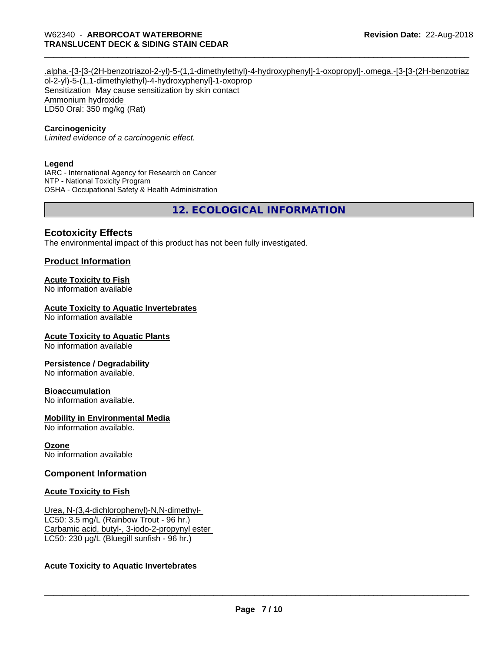#### .alpha.-[3-[3-(2H-benzotriazol-2-yl)-5-(1,1-dimethylethyl)-4-hydroxyphenyl]-1-oxopropyl]-.omega.-[3-[3-(2H-benzotriaz ol-2-yl)-5-(1,1-dimethylethyl)-4-hydroxyphenyl]-1-oxoprop Sensitization May cause sensitization by skin contact Ammonium hydroxide LD50 Oral: 350 mg/kg (Rat)

#### **Carcinogenicity**

*Limited evidence of a carcinogenic effect.*

#### **Legend**

IARC - International Agency for Research on Cancer NTP - National Toxicity Program OSHA - Occupational Safety & Health Administration

**12. ECOLOGICAL INFORMATION**

#### **Ecotoxicity Effects**

The environmental impact of this product has not been fully investigated.

#### **Product Information**

#### **Acute Toxicity to Fish**

No information available

#### **Acute Toxicity to Aquatic Invertebrates**

No information available

#### **Acute Toxicity to Aquatic Plants**

No information available

#### **Persistence / Degradability**

No information available.

#### **Bioaccumulation**

No information available.

#### **Mobility in Environmental Media**

No information available.

#### **Ozone**

No information available

#### **Component Information**

#### **Acute Toxicity to Fish**

Urea, N-(3,4-dichlorophenyl)-N,N-dimethyl- LC50: 3.5 mg/L (Rainbow Trout - 96 hr.) Carbamic acid, butyl-, 3-iodo-2-propynyl ester LC50: 230 µg/L (Bluegill sunfish - 96 hr.)

#### **Acute Toxicity to Aquatic Invertebrates**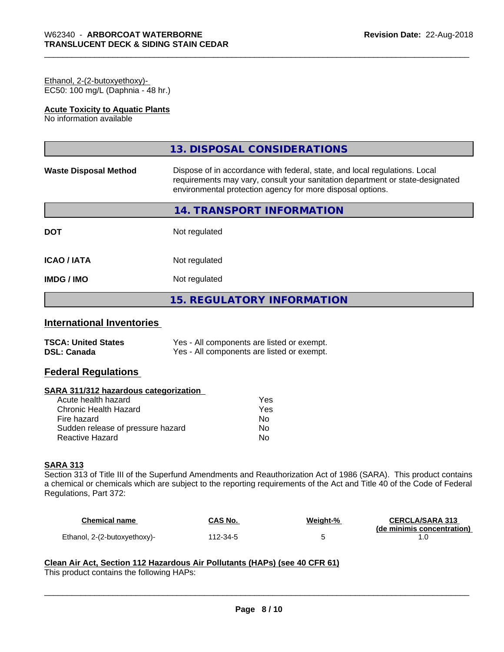#### Ethanol, 2-(2-butoxyethoxy)- EC50: 100 mg/L (Daphnia - 48 hr.)

#### **Acute Toxicity to Aquatic Plants**

No information available

|                              | 13. DISPOSAL CONSIDERATIONS                                                                                                                                                                                               |
|------------------------------|---------------------------------------------------------------------------------------------------------------------------------------------------------------------------------------------------------------------------|
| <b>Waste Disposal Method</b> | Dispose of in accordance with federal, state, and local regulations. Local<br>requirements may vary, consult your sanitation department or state-designated<br>environmental protection agency for more disposal options. |
|                              | 14. TRANSPORT INFORMATION                                                                                                                                                                                                 |
| <b>DOT</b>                   | Not regulated                                                                                                                                                                                                             |
| <b>ICAO/IATA</b>             | Not regulated                                                                                                                                                                                                             |
| <b>IMDG/IMO</b>              | Not regulated                                                                                                                                                                                                             |
|                              | <b>15. REGULATORY INFORMATION</b>                                                                                                                                                                                         |

## **International Inventories**

| <b>TSCA: United States</b> | Yes - All components are listed or exempt. |
|----------------------------|--------------------------------------------|
| <b>DSL: Canada</b>         | Yes - All components are listed or exempt. |

#### **Federal Regulations**

#### **SARA 311/312 hazardous categorization**

| Acute health hazard               | Yes |
|-----------------------------------|-----|
| Chronic Health Hazard             | Yes |
| Fire hazard                       | Nο  |
| Sudden release of pressure hazard | Nο  |
| Reactive Hazard                   | N٥  |

#### **SARA 313**

Section 313 of Title III of the Superfund Amendments and Reauthorization Act of 1986 (SARA). This product contains a chemical or chemicals which are subject to the reporting requirements of the Act and Title 40 of the Code of Federal Regulations, Part 372:

| Chemical name                | <b>CAS No.</b> | Weight-% | <b>CERCLA/SARA 313</b>     |
|------------------------------|----------------|----------|----------------------------|
| Ethanol, 2-(2-butoxyethoxy)- | 112-34-5       |          | (de minimis concentration) |

 $\overline{\phantom{a}}$  ,  $\overline{\phantom{a}}$  ,  $\overline{\phantom{a}}$  ,  $\overline{\phantom{a}}$  ,  $\overline{\phantom{a}}$  ,  $\overline{\phantom{a}}$  ,  $\overline{\phantom{a}}$  ,  $\overline{\phantom{a}}$  ,  $\overline{\phantom{a}}$  ,  $\overline{\phantom{a}}$  ,  $\overline{\phantom{a}}$  ,  $\overline{\phantom{a}}$  ,  $\overline{\phantom{a}}$  ,  $\overline{\phantom{a}}$  ,  $\overline{\phantom{a}}$  ,  $\overline{\phantom{a}}$ 

## **Clean Air Act,Section 112 Hazardous Air Pollutants (HAPs) (see 40 CFR 61)**

This product contains the following HAPs: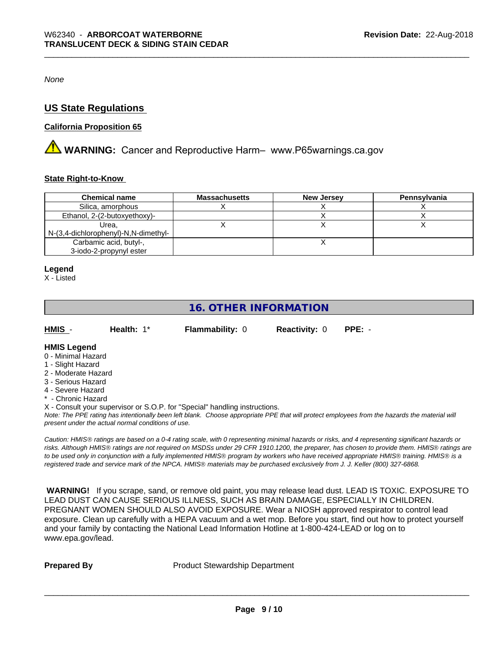*None*

#### **US State Regulations**

#### **California Proposition 65**

**A WARNING:** Cancer and Reproductive Harm– www.P65warnings.ca.gov

#### **State Right-to-Know**

| <b>Chemical name</b>                 | <b>Massachusetts</b> | <b>New Jersey</b> | Pennsylvania |
|--------------------------------------|----------------------|-------------------|--------------|
| Silica, amorphous                    |                      |                   |              |
| Ethanol, 2-(2-butoxyethoxy)-         |                      |                   |              |
| Urea.                                |                      |                   |              |
| N-(3,4-dichlorophenyl)-N,N-dimethyl- |                      |                   |              |
| Carbamic acid, butyl-,               |                      |                   |              |
| 3-iodo-2-propynyl ester              |                      |                   |              |

#### **Legend**

X - Listed

## **16. OTHER INFORMATION**

| HMIS | Health: 1* | <b>Flammability: 0</b> | <b>Reactivity: 0 PPE: -</b> |  |
|------|------------|------------------------|-----------------------------|--|
|      |            |                        |                             |  |

#### **HMIS Legend**

- 0 Minimal Hazard
- 1 Slight Hazard
- 2 Moderate Hazard
- 3 Serious Hazard
- 4 Severe Hazard
- \* Chronic Hazard
- X Consult your supervisor or S.O.P. for "Special" handling instructions.

*Note: The PPE rating has intentionally been left blank. Choose appropriate PPE that will protect employees from the hazards the material will present under the actual normal conditions of use.*

*Caution: HMISÒ ratings are based on a 0-4 rating scale, with 0 representing minimal hazards or risks, and 4 representing significant hazards or risks. Although HMISÒ ratings are not required on MSDSs under 29 CFR 1910.1200, the preparer, has chosen to provide them. HMISÒ ratings are to be used only in conjunction with a fully implemented HMISÒ program by workers who have received appropriate HMISÒ training. HMISÒ is a registered trade and service mark of the NPCA. HMISÒ materials may be purchased exclusively from J. J. Keller (800) 327-6868.*

 **WARNING!** If you scrape, sand, or remove old paint, you may release lead dust. LEAD IS TOXIC. EXPOSURE TO LEAD DUST CAN CAUSE SERIOUS ILLNESS, SUCH AS BRAIN DAMAGE, ESPECIALLY IN CHILDREN. PREGNANT WOMEN SHOULD ALSO AVOID EXPOSURE.Wear a NIOSH approved respirator to control lead exposure. Clean up carefully with a HEPA vacuum and a wet mop. Before you start, find out how to protect yourself and your family by contacting the National Lead Information Hotline at 1-800-424-LEAD or log on to www.epa.gov/lead.

**Prepared By** Product Stewardship Department